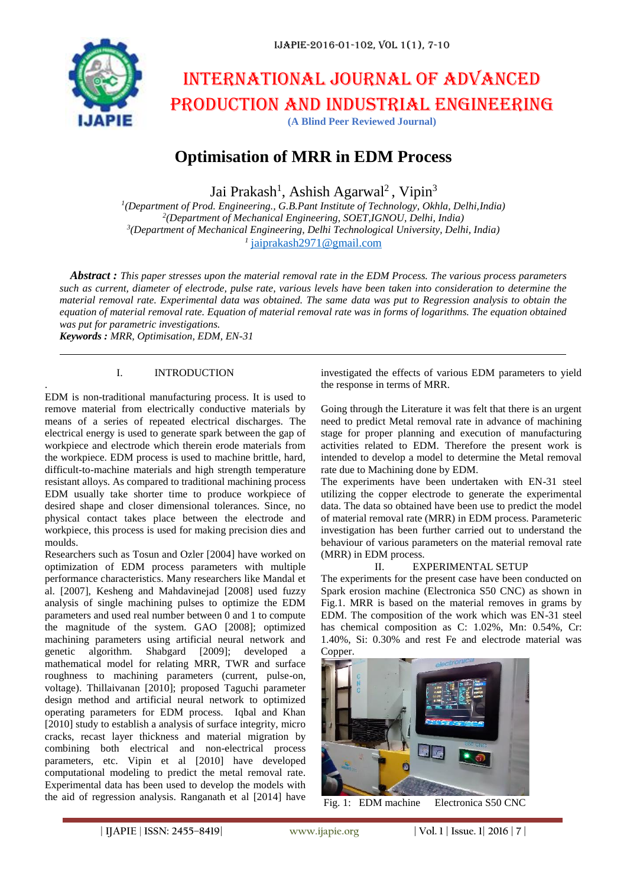

# International journal of advanced production and industrial engineering

**(A Blind Peer Reviewed Journal)**

# **Optimisation of MRR in EDM Process**

Jai Prakash<sup>1</sup>, Ashish Agarwal<sup>2</sup>, Vipin<sup>3</sup>

 *(Department of Prod. Engineering., G.B.Pant Institute of Technology, Okhla, Delhi,India) (Department of Mechanical Engineering, SOET,IGNOU, Delhi, India) (Department of Mechanical Engineering, Delhi Technological University, Delhi, India)* [jaiprakash2971@gmail.com](mailto:jaiprakash2971@gmail.com)

*Abstract : This paper stresses upon the material removal rate in the EDM Process. The various process parameters such as current, diameter of electrode, pulse rate, various levels have been taken into consideration to determine the material removal rate. Experimental data was obtained. The same data was put to Regression analysis to obtain the equation of material removal rate. Equation of material removal rate was in forms of logarithms. The equation obtained was put for parametric investigations.*

*Keywords : MRR, Optimisation, EDM, EN-31*

.

#### I. INTRODUCTION

EDM is non-traditional manufacturing process. It is used to remove material from electrically conductive materials by means of a series of repeated electrical discharges. The electrical energy is used to generate spark between the gap of workpiece and electrode which therein erode materials from the workpiece. EDM process is used to machine brittle, hard, difficult-to-machine materials and high strength temperature resistant alloys. As compared to traditional machining process EDM usually take shorter time to produce workpiece of desired shape and closer dimensional tolerances. Since, no physical contact takes place between the electrode and workpiece, this process is used for making precision dies and moulds.

Researchers such as Tosun and Ozler [2004] have worked on optimization of EDM process parameters with multiple performance characteristics. Many researchers like Mandal et al. [2007], Kesheng and Mahdavinejad [2008] used fuzzy analysis of single machining pulses to optimize the EDM parameters and used real number between 0 and 1 to compute the magnitude of the system. GAO [2008]; optimized machining parameters using artificial neural network and genetic algorithm. Shabgard [2009]; developed a mathematical model for relating MRR, TWR and surface roughness to machining parameters (current, pulse-on, voltage). Thillaivanan [2010]; proposed Taguchi parameter design method and artificial neural network to optimized operating parameters for EDM process. Iqbal and Khan [2010] study to establish a analysis of surface integrity, micro cracks, recast layer thickness and material migration by combining both electrical and non-electrical process parameters, etc. Vipin et al [2010] have developed computational modeling to predict the metal removal rate. Experimental data has been used to develop the models with the aid of regression analysis. Ranganath et al [2014] have investigated the effects of various EDM parameters to yield the response in terms of MRR.

Going through the Literature it was felt that there is an urgent need to predict Metal removal rate in advance of machining stage for proper planning and execution of manufacturing activities related to EDM. Therefore the present work is intended to develop a model to determine the Metal removal rate due to Machining done by EDM.

The experiments have been undertaken with EN-31 steel utilizing the copper electrode to generate the experimental data. The data so obtained have been use to predict the model of material removal rate (MRR) in EDM process. Parameteric investigation has been further carried out to understand the behaviour of various parameters on the material removal rate (MRR) in EDM process.

#### II. EXPERIMENTAL SETUP

The experiments for the present case have been conducted on Spark erosion machine (Electronica S50 CNC) as shown in Fig.1. MRR is based on the material removes in grams by EDM. The composition of the work which was EN-31 steel has chemical composition as C: 1.02%, Mn: 0.54%, Cr: 1.40%, Si: 0.30% and rest Fe and electrode material was Copper.



Fig. 1: EDM machine Electronica S50 CNC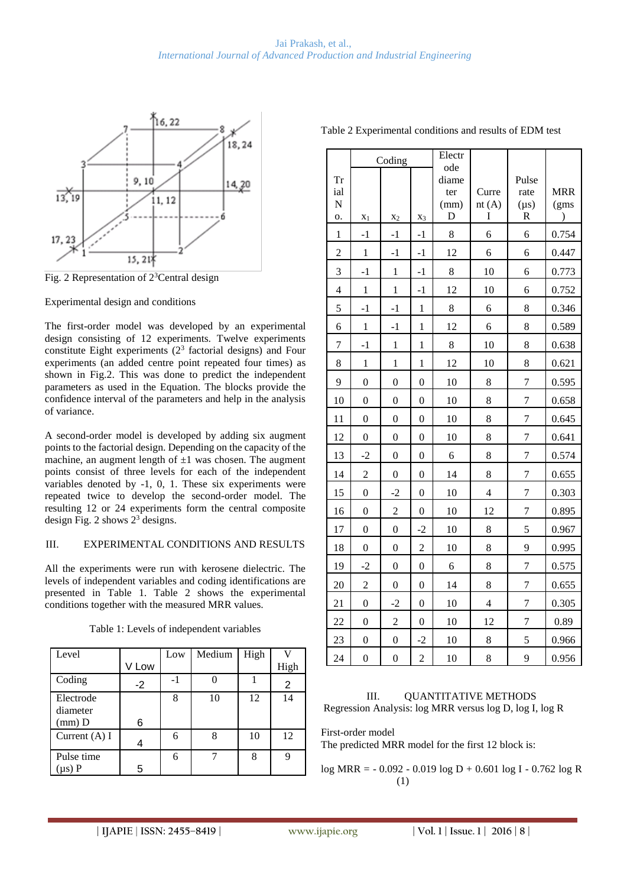

Fig. 2 Representation of 2<sup>3</sup>Central design

Experimental design and conditions

The first-order model was developed by an experimental design consisting of 12 experiments. Twelve experiments constitute Eight experiments  $(2^3$  factorial designs) and Four experiments (an added centre point repeated four times) as shown in Fig.2. This was done to predict the independent parameters as used in the Equation. The blocks provide the confidence interval of the parameters and help in the analysis of variance.

A second-order model is developed by adding six augment points to the factorial design. Depending on the capacity of the machine, an augment length of  $\pm 1$  was chosen. The augment points consist of three levels for each of the independent variables denoted by -1, 0, 1. These six experiments were repeated twice to develop the second-order model. The resulting 12 or 24 experiments form the central composite design Fig. 2 shows 2<sup>3</sup> designs.

### III. EXPERIMENTAL CONDITIONS AND RESULTS

All the experiments were run with kerosene dielectric. The levels of independent variables and coding identifications are presented in Table 1. Table 2 shows the experimental conditions together with the measured MRR values.

| Level           |       | Low | Medium | High |      |
|-----------------|-------|-----|--------|------|------|
|                 | V Low |     |        |      | High |
| Coding          | $-2$  | -1  |        |      | 2    |
| Electrode       |       | 8   | 10     | 12   | 14   |
| diameter        |       |     |        |      |      |
| $(mm)$ D        | 6     |     |        |      |      |
| Current $(A)$ I |       | 6   | 8      | 10   | 12   |
| Pulse time      |       | 6   |        | 8    |      |
| $(\mu s)$ P     | 5     |     |        |      |      |

Table 1: Levels of independent variables

| Table 2 Experimental conditions and results of EDM test |  |        |  |               |  |       |  |
|---------------------------------------------------------|--|--------|--|---------------|--|-------|--|
|                                                         |  | Coding |  | Electr<br>ode |  |       |  |
| Тr                                                      |  |        |  | diame         |  | Pulse |  |

#### ial N o. ter (mm) D Curre nt  $(A)$ I rate  $(us)$ R MRR (gms  $X_1$   $X_2$   $X_3$  D I R )  $1 \mid -1 \mid -1 \mid 3 \mid 6 \mid 6 \mid 0.754$  $2$  | 1 | -1 | -1 | 12 | 6 | 6 | 0.447 3 -1 1 -1 8 10 6 0.773 4 | 1 | 1 | -1 | 12 | 10 | 6 | 0.752 5 -1 -1 1 8 6 8 0.346 6 1 -1 1 12 6 8 0.589 7 | -1 | 1 | 1 | 8 | 10 | 8 | 0.638 8 1 1 1 1 1 1 1 1 1 0 8 0.621 9 0 0 0 10 8 7 0.595 10 0 0 0 10 8 7 0.658 11 0 0 0 10 8 7 0.645 12 0 0 0 10 8 7 0.641 13 -2 0 0 6 8 7 0.574 14 | 2 | 0 | 0 | 14 | 8 | 7 | 0.655 15 0 -2 0 10 4 7 0.303 16 0 2 0 10 12 7 0.895 17 0 0 -2 10 8 5 0.967 18 0 0 2 10 8 9 0.995 19 -2 0 0 6 8 7 0.575 20 | 2 | 0 | 0 | 14 | 8 | 7 | 0.655 21 0 -2 0 10 4 7 0.305 22 0 2 0 10 12 7 0.89 23 0 0 -2 10 8 5 0.966 24 0 0 2 10 8 9 0.956

## III. QUANTITATIVE METHODS Regression Analysis: log MRR versus log D, log I, log R

First-order model

The predicted MRR model for the first 12 block is:

log MRR = - 0.092 - 0.019 log D + 0.601 log I - 0.762 log R (1)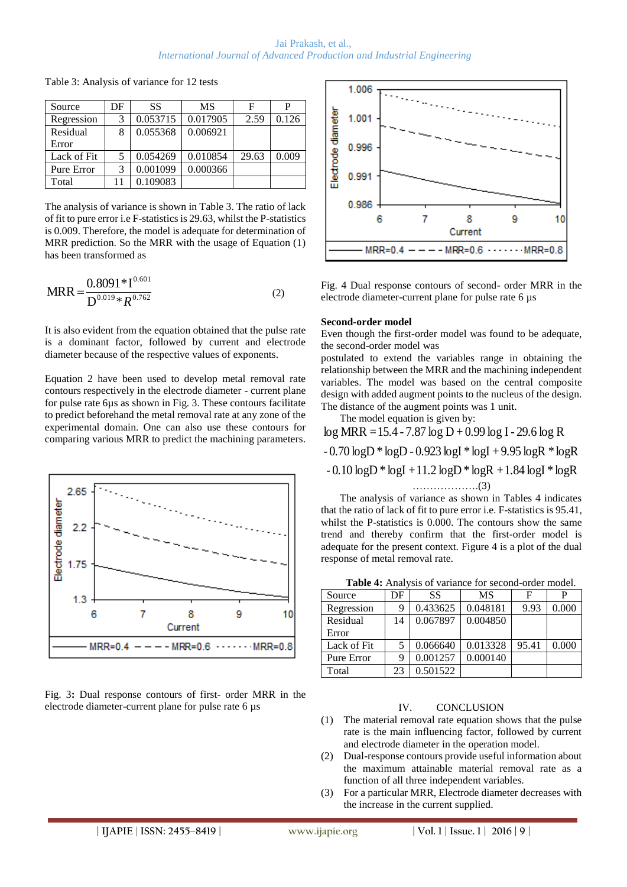| Source      | DF | SS.      | MS       | F     | р     |
|-------------|----|----------|----------|-------|-------|
| Regression  | 3  | 0.053715 | 0.017905 | 2.59  | 0.126 |
| Residual    | 8  | 0.055368 | 0.006921 |       |       |
| Error       |    |          |          |       |       |
| Lack of Fit |    | 0.054269 | 0.010854 | 29.63 | 0.009 |
| Pure Error  | 3  | 0.001099 | 0.000366 |       |       |
| Total       |    | 0.109083 |          |       |       |

Table 3: Analysis of variance for 12 tests

The analysis of variance is shown in Table 3. The ratio of lack of fit to pure error i.e F-statistics is 29.63, whilst the P-statistics is 0.009. Therefore, the model is adequate for determination of MRR prediction. So the MRR with the usage of Equation (1) has been transformed as

$$
MRR = \frac{0.8091 * 1^{0.601}}{D^{0.019} * R^{0.762}}
$$
 (2)

It is also evident from the equation obtained that the pulse rate is a dominant factor, followed by current and electrode diameter because of the respective values of exponents.

Equation 2 have been used to develop metal removal rate contours respectively in the electrode diameter - current plane for pulse rate 6µs as shown in Fig. 3. These contours facilitate to predict beforehand the metal removal rate at any zone of the experimental domain. One can also use these contours for comparing various MRR to predict the machining parameters.



Fig. 3**:** Dual response contours of first- order MRR in the electrode diameter-current plane for pulse rate 6 µs



Fig. 4 Dual response contours of second- order MRR in the electrode diameter-current plane for pulse rate 6 µs

#### **Second-order model**

Even though the first-order model was found to be adequate, the second-order model was

postulated to extend the variables range in obtaining the relationship between the MRR and the machining independent variables. The model was based on the central composite design with added augment points to the nucleus of the design. The distance of the augment points was 1 unit.

The model equation is given by:

 $-0.10 \log D * \log I +11.2 \log D * \log R +1.84 \log I * \log R$ - 0.70 logD \* logD - 0.923 logI \* logI + 9.95 logR \* logR log MRR =15.4 - 7.87 log D + 0.99 log I- 29.6 log R ……………….(3)

The analysis of variance as shown in Tables 4 indicates that the ratio of lack of fit to pure error i.e. F-statistics is 95.41, whilst the P-statistics is 0.000. The contours show the same trend and thereby confirm that the first-order model is adequate for the present context. Figure 4 is a plot of the dual response of metal removal rate.

| <b>Table 4:</b> Analysis of variance for second-order model. |          |          |       |       |  |  |
|--------------------------------------------------------------|----------|----------|-------|-------|--|--|
| DF                                                           | SS       | MS       |       |       |  |  |
|                                                              | 0.433625 | 0.048181 | 9.93  | 0.000 |  |  |
| 14                                                           | 0.067897 | 0.004850 |       |       |  |  |
|                                                              |          |          |       |       |  |  |
|                                                              | 0.066640 | 0.013328 | 95.41 | 0.000 |  |  |
|                                                              | 0.001257 | 0.000140 |       |       |  |  |
| 23                                                           | 0.501522 |          |       |       |  |  |
|                                                              |          |          |       |       |  |  |

**Table 4:** Analysis of variance for second-order model.

#### IV. CONCLUSION

- (1) The material removal rate equation shows that the pulse rate is the main influencing factor, followed by current and electrode diameter in the operation model.
- (2) Dual-response contours provide useful information about the maximum attainable material removal rate as a function of all three independent variables.
- (3) For a particular MRR, Electrode diameter decreases with the increase in the current supplied.